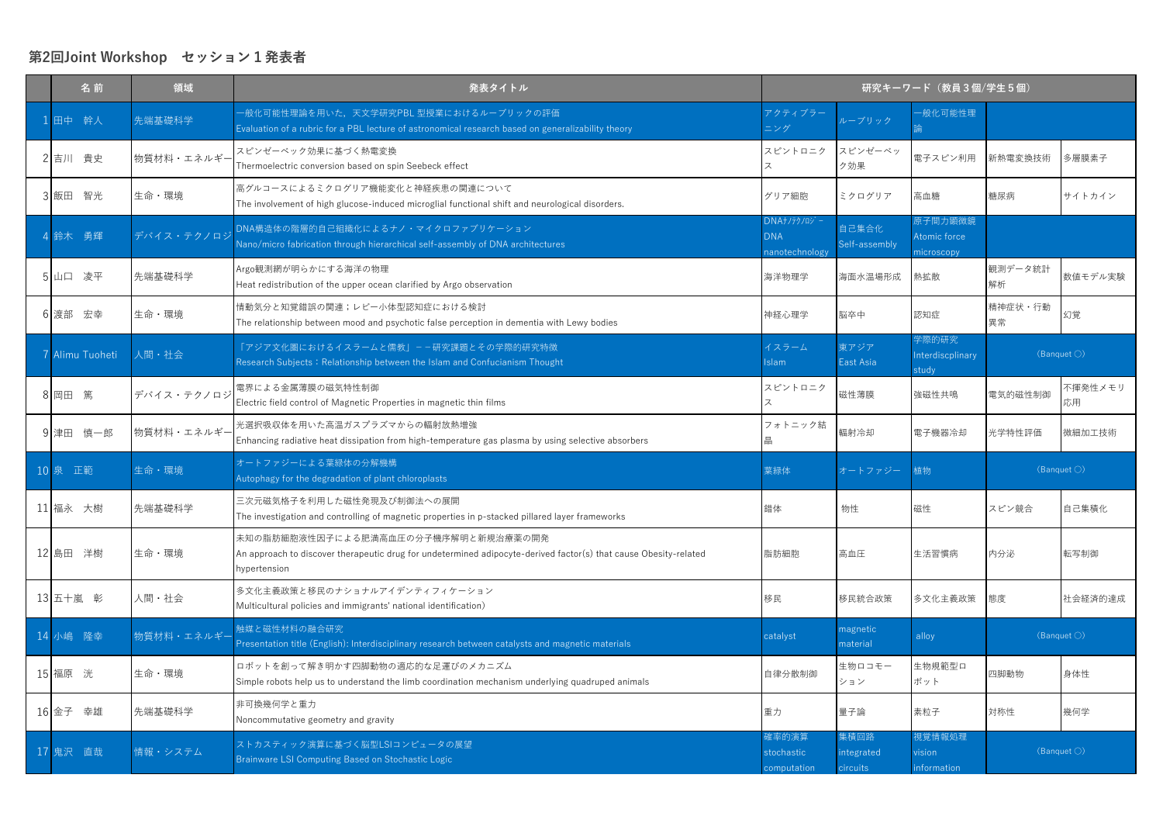### **第2回Joint Workshop セッション1発表者**

|         | 名前              | 領域         | 発表タイトル                                                                                                                                                                  | 研究キーワード (教員3個/学生5個)                         |                                       |                                       |                       |                       |  |
|---------|-----------------|------------|-------------------------------------------------------------------------------------------------------------------------------------------------------------------------|---------------------------------------------|---------------------------------------|---------------------------------------|-----------------------|-----------------------|--|
|         | 1 田中 幹人         | 先端基礎科学     | 一般化可能性理論を用いた,天文学研究PBL 型授業におけるルーブリックの評価<br>Evaluation of a rubric for a PBL lecture of astronomical research based on generalizability theory                            | アクティブラー<br>ニング                              | ルーブリック                                | -般化可能性理                               |                       |                       |  |
|         | 2吉川 貴史          | 物質材料・エネルギー | スピンゼーベック効果に基づく熱電変換<br>Thermoelectric conversion based on spin Seebeck effect                                                                                            | スピントロニク                                     | スピンゼーベッ<br>ク効果                        | 電子スピン利用                               | 新熱電変換技術               | 多層膜素子                 |  |
|         | 3 飯田 智光         | 生命・環境      | 高グルコースによるミクログリア機能変化と神経疾患の関連について<br>The involvement of high glucose-induced microglial functional shift and neurological disorders.                                      | グリア細胞                                       | ミクログリア                                | 高血糖                                   | 糖尿病                   | サイトカイン                |  |
|         | 4 鈴木 勇輝         | デバイス・テクノロジ | DNA構造体の階層的自己組織化によるナノ・マイクロファブリケーション<br>Nano/micro fabrication through hierarchical self-assembly of DNA architectures                                                    | DNAt/JJ/JJ'<br><b>DNA</b><br>nanotechnology | 自己集合化<br>Self-assembly                | 原子間力顕微鏡<br>Atomic force<br>microscopy |                       |                       |  |
|         | 5 山口 凌平         | 先端基礎科学     | Argo観測網が明らかにする海洋の物理<br>Heat redistribution of the upper ocean clarified by Argo observation                                                                             | 海洋物理学                                       | 海面水温場形成                               | 熱拡散                                   | 観測データ統計<br>解析         | 数値モデル実験               |  |
|         | 6 渡部 宏幸         | 生命・環境      | 情動気分と知覚錯誤の関連;レビー小体型認知症における検討<br>The relationship between mood and psychotic false perception in dementia with Lewy bodies                                               | 神経心理学                                       | 脳卒中                                   | 認知症                                   | 精神症状・行動<br>異常         | 幻覚                    |  |
|         | 7 Alimu Tuoheti | 人間・社会      | 「アジア文化圏におけるイスラームと儒教」--研究課題とその学際的研究特徴<br>Research Subjects: Relationship between the Islam and Confucianism Thought                                                      | イスラーム<br>slam                               | 東アジア<br>East Asia                     | 学際的研究<br>Interdiscolinary<br>study    |                       | (Banquet)             |  |
| 8 岡田 篤  |                 | デバイス・テクノロジ | 電界による金属薄膜の磁気特性制御<br>Electric field control of Magnetic Properties in magnetic thin films                                                                                | スピントロニク<br>ス                                | 磁性薄膜                                  | 強磁性共鳴                                 | 電気的磁性制御               | 不揮発性メモリ<br>応用         |  |
|         | 9 津田 慎一郎        | 物質材料・エネルギー | 光選択吸収体を用いた高温ガスプラズマからの輻射放熱増強<br>Enhancing radiative heat dissipation from high-temperature gas plasma by using selective absorbers                                       | フォトニック結                                     | 輻射冷却                                  | 電子機器冷却                                | 光学特性評価                | 微細加工技術                |  |
| 10 泉 正範 |                 | 生命・環境      | オートファジーによる葉緑体の分解機構<br>Autophagy for the degradation of plant chloroplasts                                                                                               | 葉緑体                                         | オートファジー                               | 植物                                    |                       | (Banquet $\bigcirc$ ) |  |
|         | 11 福永 大樹        | 先端基礎科学     | 三次元磁気格子を利用した磁性発現及び制御法への展開<br>The investigation and controlling of magnetic properties in p-stacked pillared layer frameworks                                            | 錯体                                          | 物性                                    | 磁性                                    | スピン競合                 | 自己集積化                 |  |
|         | 12 島田 洋樹        | 生命・環境      | 未知の脂肪細胞液性因子による肥満高血圧の分子機序解明と新規治療薬の開発<br>An approach to discover therapeutic drug for undetermined adipocyte-derived factor(s) that cause Obesity-related<br>hvpertension | 脂肪細胞                                        | 高血圧                                   | 生活習慣病                                 | 内分泌                   | 転写制御                  |  |
|         | 13 五十嵐 彰        | 人間・社会      | 多文化主義政策と移民のナショナルアイデンティフィケーション<br>Multicultural policies and immigrants' national identification)                                                                        | 移民                                          | 移民統合政策                                | 多文化主義政策                               | 熊度                    | 社会経済的達成               |  |
|         | 14 小嶋 降幸        | 物質材料・エネルギ- | 触媒と磁性材料の融合研究<br>Presentation title (English): Interdisciplinary research between catalysts and magnetic materials                                                       | catalyst                                    | magnetic<br>material                  | alloy                                 | (Banquet $\bigcirc$ ) |                       |  |
| 15 福原 洸 |                 | 生命・環境      | ロボットを創って解き明かす四脚動物の適応的な足運びのメカニズム<br>Simple robots help us to understand the limb coordination mechanism underlying quadruped animals                                     | 自律分散制御                                      | 生物ロコモー<br>ション                         | 生物規範型口<br>ボット                         | 四脚動物                  | 身体性                   |  |
|         | 16 金子 幸雄        | 先端基礎科学     | 非可換幾何学と重力<br>Noncommutative geometry and gravity                                                                                                                        | 重力                                          | 量子論                                   | 素粒子                                   | 対称性                   | 幾何学                   |  |
|         | 17 鬼沢 直哉        | 情報・システム    | ストカスティック演算に基づく脳型LSIコンピュータの展望<br>Brainware LSI Computing Based on Stochastic Logic                                                                                       | 確率的演算<br>stochastic<br>computation          | 集積回路<br><b>integrated</b><br>circuits | 視覚情報処理<br>vision<br>information       |                       | (Banquet)             |  |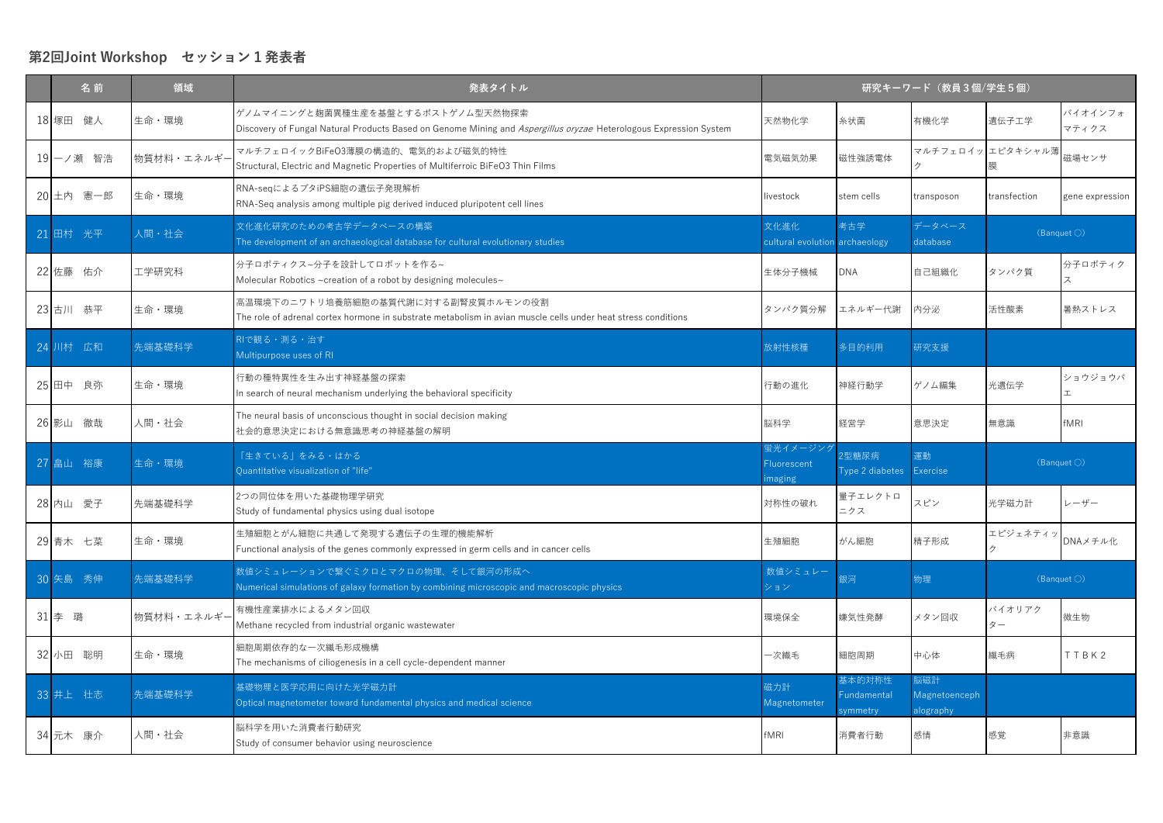### **第2回Joint Workshop セッション1発表者**

|        | 名前        | 領域         | 発表タイトル                                                                                                                                                 | 研究キーワード (教員3個/学生5個)                    |                                   |                                   |                            |                       |  |  |
|--------|-----------|------------|--------------------------------------------------------------------------------------------------------------------------------------------------------|----------------------------------------|-----------------------------------|-----------------------------------|----------------------------|-----------------------|--|--|
|        | 18 塚田 健人  | 生命・環境      | ゲノムマイニングと麹菌異種生産を基盤とするポストゲノム型天然物探索<br>Discovery of Fungal Natural Products Based on Genome Mining and Aspergillus oryzae Heterologous Expression System | 天然物化学                                  | 糸状菌                               | 有機化学                              | 遺伝子工学                      | バイオインフォ<br>マティクス      |  |  |
|        | 19 一ノ瀬 智浩 | 物質材料・エネルギー | マルチフェロイックBiFeO3薄膜の構造的、電気的および磁気的特性<br>Structural, Electric and Magnetic Properties of Multiferroic BiFeO3 Thin Films                                    | 電気磁気効果                                 | 磁性強誘電体                            |                                   | マルチフェロイッエピタキシャル薄           | 磁場センサ                 |  |  |
|        | 20 土内 憲一郎 | 生命・環境      | RNA-seqによるブタiPS細胞の遺伝子発現解析<br>RNA-Seq analysis among multiple pig derived induced pluripotent cell lines                                                | livestock                              | stem cells                        | transposon                        | transfection               | gene expression       |  |  |
|        | 21 田村 光平  | 人間・社会      | 文化進化研究のための考古学データベースの構築<br>The development of an archaeological database for cultural evolutionary studies                                              | 文化進化<br>cultural evolution archaeology | 考古学                               | データベース<br>database                |                            | (Banquet $\bigcirc$ ) |  |  |
|        | 22 佐藤 佑介  | 工学研究科      | 分子ロボティクス~分子を設計してロボットを作る~<br>Molecular Robotics ~creation of a robot by designing molecules~                                                            | 生体分子機械                                 | <b>DNA</b>                        | 自己組織化                             | タンパク質                      | 分子ロボティク<br>ス          |  |  |
|        | 23 古川 恭平  | 生命・環境      | 高温環境下のニワトリ培養筋細胞の基質代謝に対する副腎皮質ホルモンの役割<br>The role of adrenal cortex hormone in substrate metabolism in avian muscle cells under heat stress conditions   | タンパク質分解                                | エネルギー代謝                           | 内分泌                               | 活性酸素                       | 暑熱ストレス                |  |  |
|        | 24 川村 広和  | 先端基礎科学     | RIで観る・測る・治す<br>Multipurpose uses of RI                                                                                                                 | 放射性核種                                  | 多目的利用                             | 研究支援                              |                            |                       |  |  |
|        | 25 田中 良弥  | 生命・環境      | 行動の種特異性を生み出す神経基盤の探索<br>In search of neural mechanism underlying the behavioral specificity                                                             | 行動の進化                                  | 神経行動学                             | ゲノム編集                             | 光遺伝学                       | ショウジョウバ<br>工          |  |  |
|        | 26 影山 徹哉  | 人間・社会      | The neural basis of unconscious thought in social decision making<br>社会的意思決定における無意識思考の神経基盤の解明                                                          | 脳科学                                    | 経営学                               | 意思決定                              | 無意識                        | fMRI                  |  |  |
|        | 27 畠山 裕康  | 生命・環境      | 「生きている」をみる・はかる<br>Quantitative visualization of "life"                                                                                                 | 蛍光イメージン<br>Fluorescent<br>imaging      | 2型糖尿病<br>Type 2 diabetes          | 運動<br>Exercise                    |                            | (Banquet $\bigcirc$ ) |  |  |
|        | 28 内山 愛子  | 先端基礎科学     | 2つの同位体を用いた基礎物理学研究<br>Study of fundamental physics using dual isotope                                                                                   | 対称性の破れ                                 | 量子エレクトロ<br>ニクス                    | スピン                               | 光学磁力計                      | レーザー                  |  |  |
|        | 29 青木 七菜  | 生命・環境      | 生殖細胞とがん細胞に共通して発現する遺伝子の生理的機能解析<br>Functional analysis of the genes commonly expressed in germ cells and in cancer cells                                 | 生殖細胞                                   | がん細胞                              | 精子形成                              | エピジェネティッ                   | DNAメチル化               |  |  |
|        | 30 矢島 秀伸  | 先端基礎科学     | 数値シミュレーションで繋ぐミクロとマクロの物理、そして銀河の形成へ<br>Numerical simulations of galaxy formation by combining microscopic and macroscopic physics                        | 数値シミュレー<br>ション                         | 銀河                                | 物理                                |                            | (Banquet $\bigcirc$ ) |  |  |
| 31 李 璐 |           | 物質材料・エネルギー | 有機性産業排水によるメタン回収<br>Methane recycled from industrial organic wastewater                                                                                 | 環境保全                                   | 嫌気性発酵                             | メタン回収                             | バイオリアク<br>$\overline{a}$ – | 微生物                   |  |  |
|        | 32 小田 聡明  | 生命・環境      | 細胞周期依存的な一次繊毛形成機構<br>The mechanisms of ciliogenesis in a cell cycle-dependent manner                                                                    | -次繊毛                                   | 細胞周期                              | 中心体                               | 繊毛病                        | TTBK2                 |  |  |
|        | 33 井上 壮志  | 先端基礎科学     | 基礎物理と医学応用に向けた光学磁力計<br>Optical magnetometer toward fundamental physics and medical science                                                              | 磁力計<br>Magnetometer                    | 基本的対称性<br>-undamental<br>symmetry | 脳磁計<br>Magnetoenceph<br>alography |                            |                       |  |  |
|        | 34 元木 康介  | 人間・社会      | 脳科学を用いた消費者行動研究<br>Study of consumer behavior using neuroscience                                                                                        | fMRI                                   | 消費者行動                             | 感情                                | 感覚                         | 非意識                   |  |  |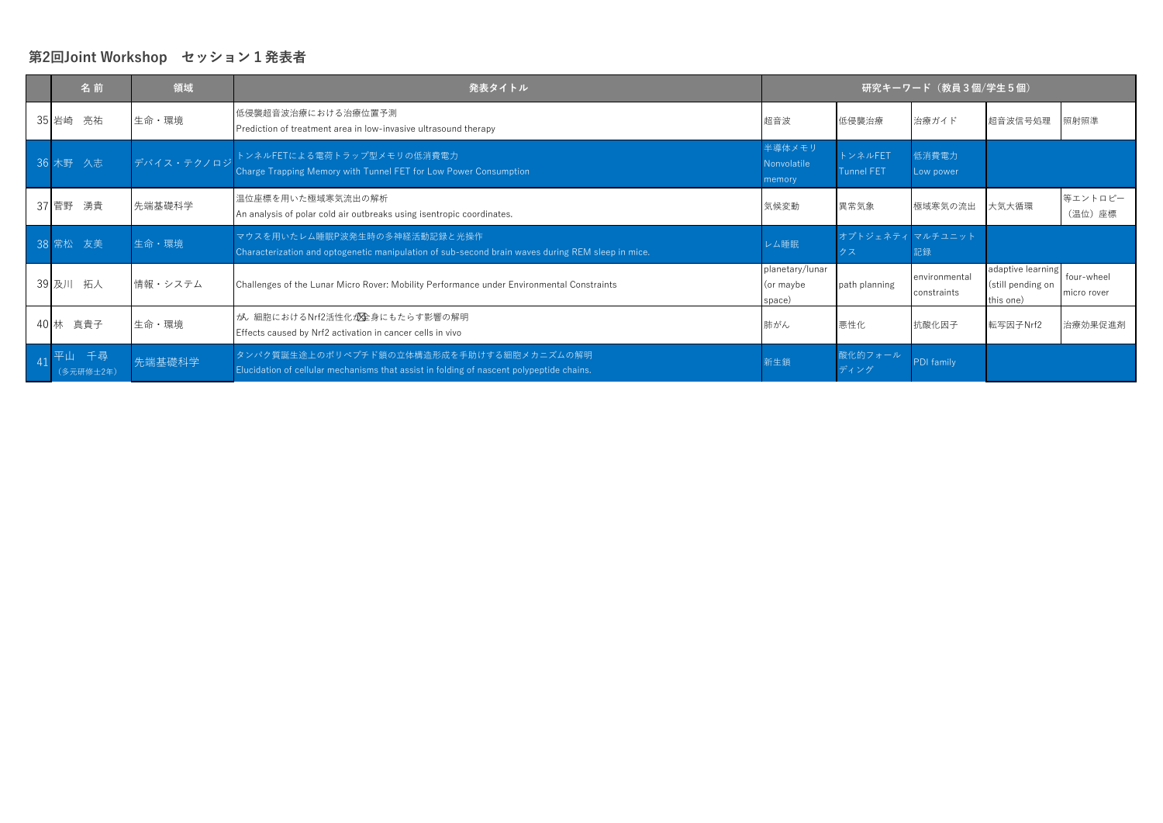# **第2回Joint Workshop セッション1発表者**

|                 | 名前                 | 領域      | 発表タイトル                                                                                                                               | 研究キーワード(教員3個/学生5個)                     |                              |                              |                                                     |                           |  |  |
|-----------------|--------------------|---------|--------------------------------------------------------------------------------------------------------------------------------------|----------------------------------------|------------------------------|------------------------------|-----------------------------------------------------|---------------------------|--|--|
|                 | 35 岩崎 亮祐           | 生命・環境   | 低侵襲超音波治療における治療位置予測<br>Prediction of treatment area in low-invasive ultrasound therapy                                                | 超音波                                    | 低侵襲治療                        | 治療ガイド                        | 超音波信号処理                                             | 照射照準                      |  |  |
|                 | 36 木野 久志           |         | デバイス・テクノロジーンネルFETによる電荷トラップ型メモリの低消費電力<br>Charge Trapping Memory with Tunnel FET for Low Power Consumption                             | 半導体メモリ<br>Nonvolatile<br>memory        | トンネルFET<br><b>Tunnel FET</b> | 低消費電力<br>Low power           |                                                     |                           |  |  |
| 37 <sup>l</sup> | 菅野 湧貴              | 先端基礎科学  | 温位座標を用いた極域寒気流出の解析<br>An analysis of polar cold air outbreaks using isentropic coordinates.                                           | 気候変動                                   | 異常気象                         | 極域寒気の流出                      | 大気大循環                                               | 等エントロピー<br>(温位) 座標        |  |  |
|                 | 38 常松 友美           | 生命・環境   | マウスを用いたレム睡眠P波発生時の多神経活動記録と光操作<br>Characterization and optogenetic manipulation of sub-second brain waves during REM sleep in mice.    | レム睡眠                                   | オプトジェネティマルチユニット<br>クス        | 記録                           |                                                     |                           |  |  |
|                 | 39 及川 拓人           | 情報・システム | Challenges of the Lunar Micro Rover: Mobility Performance under Environmental Constraints                                            | planetary/lunar<br>(or maybe<br>space) | path planning                | environmental<br>constraints | adaptive learning<br>(still pending on<br>this one) | four-wheel<br>micro rover |  |  |
|                 | 40 林真貴子            | 生命・環境   | がん 細胞におけるNrf2活性化が全身にもたらす影響の解明<br>Effects caused by Nrf2 activation in cancer cells in vivo                                           | 肺がん                                    | 悪性化                          | 抗酸化因子                        | 転写因子Nrf2                                            | 治療効果促進剤                   |  |  |
|                 | 平山 千尋<br>(多元研修士2年) | 先端基礎科学  | タンパク質誕生途上のポリペプチド鎖の立体構造形成を手助けする細胞メカニズムの解明<br>Elucidation of cellular mechanisms that assist in folding of nascent polypeptide chains. | 新生鎖                                    | 酸化的フォール<br>ディング              | PDI family                   |                                                     |                           |  |  |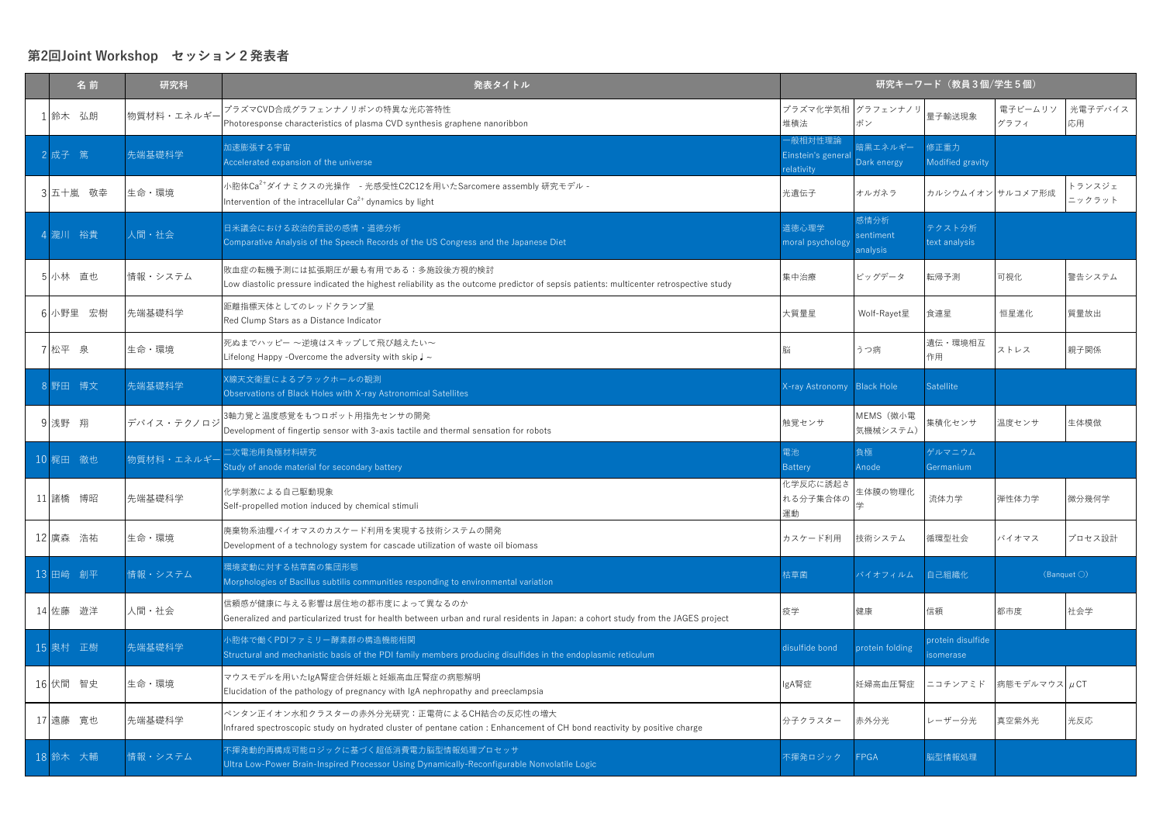#### **第2回Joint Workshop セッション2発表者**

|        | 名前       | 研究科        | 発表タイトル                                                                                                                                                                    |                                            | 研究キーワード (教員3個/学生5個)           |                               |                 |                       |  |  |
|--------|----------|------------|---------------------------------------------------------------------------------------------------------------------------------------------------------------------------|--------------------------------------------|-------------------------------|-------------------------------|-----------------|-----------------------|--|--|
|        | 1 鈴木 弘朗  | 物質材料・エネルギー | プラズマCVD合成グラフェンナノリボンの特異な光応答特性<br>Photoresponse characteristics of plasma CVD synthesis graphene nanoribbon                                                                 | プラズマ化学気相 グラフェンナノリ<br>堆積法                   | ボン                            | 量子輸送現象                        | 電子ビームリン<br>グラフィ | 光電子デバイス<br>応用         |  |  |
| 2 成子 篤 |          | 先端基礎科学     | 加速膨張する宇宙<br>Accelerated expansion of the universe                                                                                                                         | -般相対性理論<br>Einstein's genera<br>relativity | 暗黒エネルギー<br>Dark energy        | 修正重力<br>Modified gravity      |                 |                       |  |  |
|        | 3 五十嵐 敬幸 | 牛命・環境      | 小胞体Ca <sup>2+</sup> ダイナミクスの光操作 - 光感受性C2C12を用いたSarcomere assembly 研究モデル -<br>Intervention of the intracellular $Ca^{2+}$ dynamics by light                                 | 光遺伝子                                       | オルガネラ                         | カルシウムイオンサルコメア形成               |                 | トランスジェ<br>ニックラット      |  |  |
|        | 4 瀧川 裕貴  | 人間・社会      | 日米議会における政治的言説の感情・道徳分析<br>Comparative Analysis of the Speech Records of the US Congress and the Japanese Diet                                                              | 道徳心理学<br>moral psychology                  | 感情分析<br>sentiment<br>analysis | テクスト分析<br>text analysis       |                 |                       |  |  |
|        | 5 小林 直也  | 情報・システム    | 敗血症の転機予測には拡張期圧が最も有用である:多施設後方視的検討<br>Low diastolic pressure indicated the highest reliability as the outcome predictor of sepsis patients: multicenter retrospective study | 集中治療                                       | ビッグデータ                        | 転帰予測                          | 可視化             | 警告システム                |  |  |
|        | 6 小野里 宏樹 | 先端基礎科学     | 距離指標天体としてのレッドクランプ星<br>Red Clump Stars as a Distance Indicator                                                                                                             | 大質量星                                       | Wolf-Rayet星                   | 食連星                           | 恒星進化            | 質量放出                  |  |  |
| 7松平 泉  |          | 生命・環境      | 死ぬまでハッピー 〜逆境はスキップして飛び越えたい〜<br>Lifelong Happy -Overcome the adversity with skip $J \sim$                                                                                   | 脳                                          | うつ病                           | 遺伝・環境相互<br>作用                 | ストレス            | 親子関係                  |  |  |
|        | 8 野田 博文  | 先端基礎科学     | X線天文衛星によるブラックホールの観測<br>Observations of Black Holes with X-ray Astronomical Satellites                                                                                     | X-ray Astronomy                            | <b>Black Hole</b>             | <b>Satellite</b>              |                 |                       |  |  |
| 9 浅野 翔 |          | デバイス・テクノロジ | 3軸力覚と温度感覚をもつロボット用指先センサの開発<br>Development of fingertip sensor with 3-axis tactile and thermal sensation for robots                                                         | 触覚センサ                                      | MEMS (微小電<br>気機械システム)         | 集積化センサ                        | 温度センサ           | 生体模倣                  |  |  |
|        | 10 梶田 徹也 | 物質材料・エネルギー | 二次電池用負極材料研究<br>Study of anode material for secondary battery                                                                                                              | 電池<br><b>Battery</b>                       | 負極<br>Anode                   | ゲルマニウム<br>Germanium           |                 |                       |  |  |
|        | 11 諸橋 博昭 | 先端基礎科学     | 化学刺激による自己駆動現象<br>Self-propelled motion induced by chemical stimuli                                                                                                        | 化学反応に誘起さ<br>れる分子集合体の<br>運動                 | 生体膜の物理化                       | 流体力学                          | 弾性体力学           | 微分幾何学                 |  |  |
|        | 12 廣森 浩祐 | 生命・環境      | 廃棄物系油糧バイオマスのカスケード利用を実現する技術システムの開発<br>Development of a technology system for cascade utilization of waste oil biomass                                                      | カスケード利用                                    | 技術システム                        | 循環型社会                         | バイオマス           | プロセス設計                |  |  |
|        | 13 田崎 創平 | 情報・システム    | 環境変動に対する枯草菌の集団形態<br>Morphologies of Bacillus subtilis communities responding to environmental variation                                                                   | 枯草菌                                        | バイオフィルム                       | 自己組織化                         |                 | (Banquet $\bigcirc$ ) |  |  |
|        | 14 佐藤 遊洋 | 人間・社会      | 信頼感が健康に与える影響は居住地の都市度によって異なるのか<br>Generalized and particularized trust for health between urban and rural residents in Japan: a cohort study from the JAGES project        | 疫学                                         | 健康                            | 信頼                            | 都市度             | 社会学                   |  |  |
|        | 15 奥村 正樹 | 先端基礎科学     | 小胞体で働くPDIファミリー酵素群の構造機能相関<br>Structural and mechanistic basis of the PDI family members producing disulfides in the endoplasmic reticulum                                  | disulfide bond                             | protein folding               | protein disulfide<br>somerase |                 |                       |  |  |
|        | 16 伏間 智史 | 生命・環境      | マウスモデルを用いたIgA腎症合併妊娠と妊娠高血圧腎症の病態解明<br>Elucidation of the pathology of pregnancy with IgA nephropathy and preeclampsia                                                       | lgA腎症                                      | 妊婦高血圧腎症                       | ニコチンアミド                       | 病熊モデルマウス µCT    |                       |  |  |
|        | 17 遠藤 寛也 | 先端基礎科学     | ペンタン正イオン水和クラスターの赤外分光研究:正電荷によるCH結合の反応性の増大<br>Infrared spectroscopic study on hydrated cluster of pentane cation: Enhancement of CH bond reactivity by positive charge      | 分子クラスター                                    | 赤外分光                          | レーザー分光                        | 真空紫外光           | 光反応                   |  |  |
|        | 18 鈴木 大輔 | 情報・システム    | 不揮発動的再構成可能ロジックに基づく超低消費電力脳型情報処理プロセッサ<br>Ultra Low-Power Brain-Inspired Processor Using Dynamically-Reconfigurable Nonvolatile Logic                                        | 不揮発ロジック                                    | <b>FPGA</b>                   | 脳型情報処理                        |                 |                       |  |  |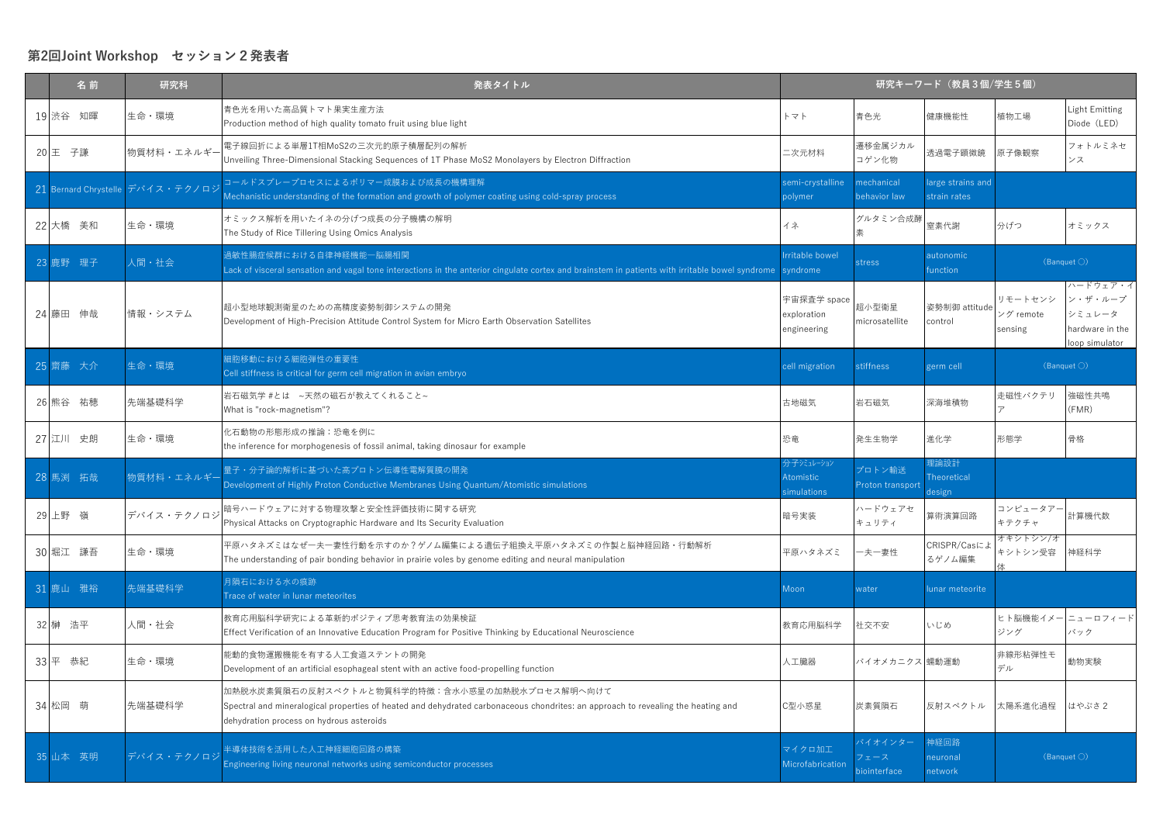#### **第2回Joint Workshop セッション2発表者**

| 名前       | 研究科                              | 発表タイトル                                                                                                                                                                                                                         | 研究キーワード (教員3個/学生5個)                       |                                 |                                  |                                 |                                                                    |
|----------|----------------------------------|--------------------------------------------------------------------------------------------------------------------------------------------------------------------------------------------------------------------------------|-------------------------------------------|---------------------------------|----------------------------------|---------------------------------|--------------------------------------------------------------------|
| 19 渋谷 知暉 | 生命・環境                            | 青色光を用いた高品質トマト果実生産方法<br>Production method of high quality tomato fruit using blue light                                                                                                                                         | トマト                                       | 青色光                             | 健康機能性                            | 植物工場                            | Light Emitting<br>Diode (LED)                                      |
| 20 王 子謙  | 物質材料・エネルギ-                       | 電子線回折による単層1T相MoS2の三次元的原子積層配列の解析<br>Unveiling Three-Dimensional Stacking Sequences of 1T Phase MoS2 Monolayers by Electron Diffraction                                                                                          | 二次元材料                                     | 遷移金属ジカル<br>コゲン化物                | 透過電子顕微鏡                          | 原子像観察                           | フォトルミネセ<br>ンス                                                      |
|          | 21 Bernard Chrystelle デバイス・テクノロジ | コールドスプレープロセスによるポリマー成膜および成長の機構理解<br>Mechanistic understanding of the formation and growth of polymer coating using cold-spray process                                                                                           | semi-crystalline<br>polymer               | mechanical<br>behavior law      | arge strains and<br>strain rates |                                 |                                                                    |
| 22 大橋 美和 | 生命・環境                            | オミックス解析を用いたイネの分げつ成長の分子機構の解明<br>The Study of Rice Tillering Using Omics Analysis                                                                                                                                                | イネ                                        | グルタミン合成酵                        | 窒素代謝                             | 分げつ                             | オミックス                                                              |
| 23 鹿野 理子 | 人間·社会                            | 過敏性腸症候群における自律神経機能一脳腸相関<br>Lack of visceral sensation and vagal tone interactions in the anterior cingulate cortex and brainstem in patients with irritable bowel syndrome                                                      | rritable bowel<br>syndrome                | stress                          | autonomic<br>function            |                                 | (Banquet $\bigcirc$ )                                              |
| 24 藤田 伸哉 | 情報・システム                          | 超小型地球観測衛星のための高精度姿勢制御システムの開発<br>Development of High-Precision Attitude Control System for Micro Earth Observation Satellites                                                                                                    | 宇宙探査学 space<br>exploration<br>engineering | 超小型衛星<br>microsatellite         | 姿勢制御 attitude<br>control         | リモートセンシ<br>ング remote<br>sensing | ハードウェア・イ<br>ン・ザ・ループ<br>シミュレータ<br>hardware in the<br>loop simulator |
| 25 齋藤 大介 | 生命・環境                            | 細胞移動における細胞弾性の重要性<br>Cell stiffness is critical for germ cell migration in avian embryo                                                                                                                                         | cell migration                            | stiffness                       | germ cell                        |                                 | (Banquet $\bigcirc$ )                                              |
| 26 熊谷 祐穂 | 先端基礎科学                           | 岩石磁気学 #とは ~天然の磁石が教えてくれること~<br>What is "rock-magnetism"?                                                                                                                                                                        | 古地磁気                                      | 岩石磁気                            | 深海堆積物                            | 走磁性バクテリ                         | 強磁性共鳴<br>(FMR)                                                     |
| 27 江川 史朗 | 生命・環境                            | 化石動物の形態形成の推論:恐竜を例に<br>the inference for morphogenesis of fossil animal, taking dinosaur for example                                                                                                                            | 恐竜                                        | 発生生物学                           | 進化学                              | 形態学                             | 骨格                                                                 |
| 28 馬渕 拓哉 | 物質材料・エネルギー                       | 量子・分子論的解析に基づいた高プロトン伝導性電解質膜の開発<br>Development of Highly Proton Conductive Membranes Using Quantum/Atomistic simulations                                                                                                         | 分子シミュレーション<br>Atomistic<br>simulations    | プロトン輸送<br>Proton transport      | 理論設計<br>Theoretical<br>design    |                                 |                                                                    |
| 29 上野 嶺  | デバイス・テクノロジ                       | 暗号ハードウェアに対する物理攻撃と安全性評価技術に関する研究<br>Physical Attacks on Cryptographic Hardware and Its Security Evaluation                                                                                                                       | 暗号実装                                      | ハードウェアセ<br>キュリティ                | 算術演算回路                           | コンピュータア-<br>キテクチャ               | 計算機代数                                                              |
| 30 堀江 謙吾 | 生命・環境                            | 平原ハタネズミはなぜ一夫一妻性行動を示すのか?ゲノム編集による遺伝子組換え平原ハタネズミの作製と脳神経回路・行動解析<br>The understanding of pair bonding behavior in prairie voles by genome editing and neural manipulation                                                            | 平原ハタネズミ                                   | -夫一妻性                           | CRISPR/Casによ<br>るゲノム編集           | オキシトシン/オ<br>キシトシン受容             | 神経科学                                                               |
| 31 鹿山 雅裕 | 先端基礎科学                           | 月隕石における水の痕跡<br>Trace of water in lunar meteorites                                                                                                                                                                              | Moon                                      | water                           | unar meteorite                   |                                 |                                                                    |
| 32 榊 浩平  | 人間・社会                            | 教育応用脳科学研究による革新的ポジティブ思考教育法の効果検証<br>Effect Verification of an Innovative Education Program for Positive Thinking by Educational Neuroscience                                                                                     | 教育応用脳科学                                   | 社交不安                            | いじめ                              | ヒト脳機能イメー<br>ジング                 | ニューロフィード<br>バック                                                    |
| 33 平 恭紀  | 生命・環境                            | 能動的食物運搬機能を有する人工食道ステントの開発<br>Development of an artificial esophageal stent with an active food-propelling function                                                                                                              | 人工臓器                                      | バイオメカニクス 蠕動運動                   |                                  | 非線形粘弾性モ<br>デル                   | 動物実験                                                               |
| 34 松岡 萌  | 先端基礎科学                           | 加熱脱水炭素質隕石の反射スペクトルと物質科学的特徴:含水小惑星の加熱脱水プロセス解明へ向けて<br>Spectral and mineralogical properties of heated and dehydrated carbonaceous chondrites: an approach to revealing the heating and<br>dehydration process on hydrous asteroids | C型小惑星                                     | 炭素質隕石                           | 反射スペクトル                          | 太陽系進化過程                         | はやぶさ2                                                              |
| 35 山本 英明 | デバイス・テクノロジ                       | 半導体技術を活用した人工神経細胞回路の構築<br>Engineering living neuronal networks using semiconductor processes                                                                                                                                    | マイクロ加工<br><b>Microfabrication</b>         | バイオインター<br>フェース<br>biointerface | 神経回路<br>neuronal<br>network      |                                 | (Banquet $\bigcirc$ )                                              |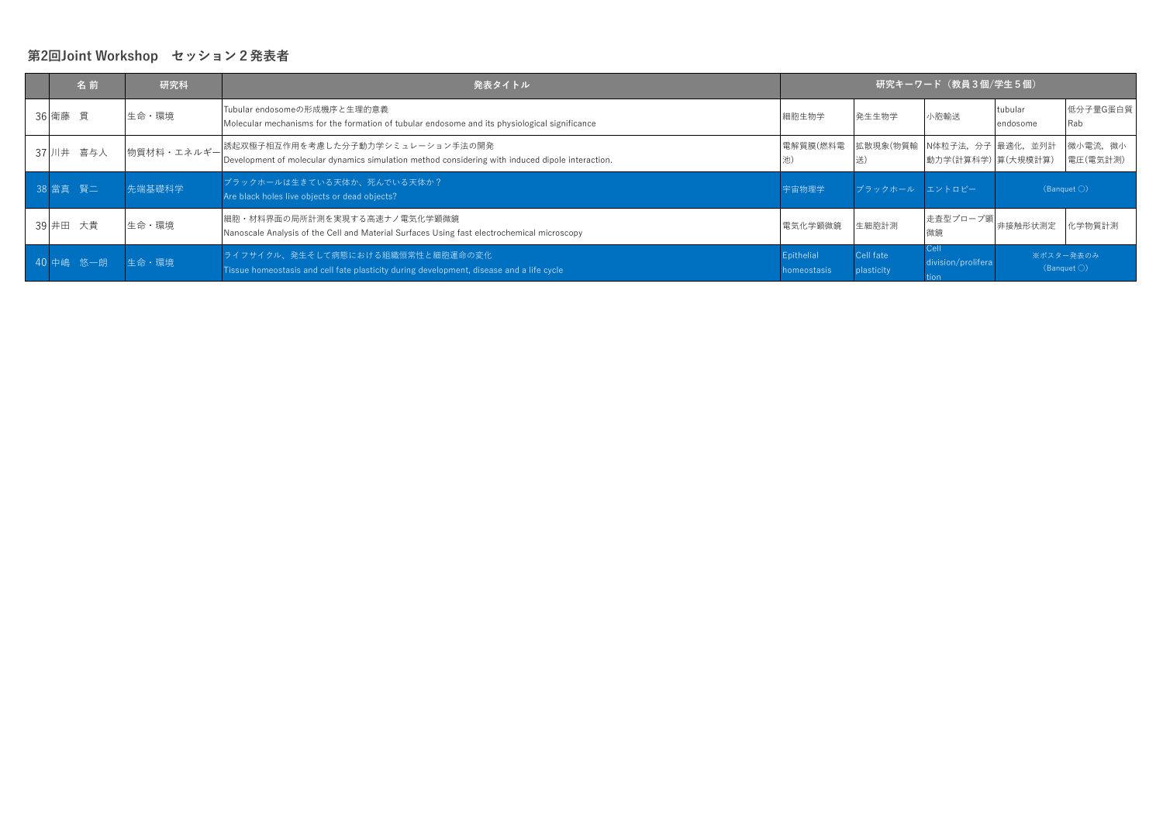#### **第2回Joint Workshop セッション2発表者**

|         | 名前        | 研究科        | 発表タイトル                                                                                                                               | 研究キーワード(教員3個/学生5個)        |                         |                                                      |                     |                        |  |
|---------|-----------|------------|--------------------------------------------------------------------------------------------------------------------------------------|---------------------------|-------------------------|------------------------------------------------------|---------------------|------------------------|--|
| 36 衛藤 貫 |           | 生命・環境      | Tubular endosomeの形成機序と生理的意義<br>Molecular mechanisms for the formation of tubular endosome and its physiological significance         | 細胞生物学                     | 発生生物学                   | 小胞輸送                                                 | tubular<br>endosome | 低分子量G蛋白質<br><b>Rab</b> |  |
|         | 37 川井 喜与人 | 物質材料・エネルギー | 誘起双極子相互作用を考慮した分子動力学シミュレーション手法の開発<br>Development of molecular dynamics simulation method considering with induced dipole interaction. | 電解質膜(燃料電                  |                         | 拡散現象(物質輸  N体粒子法, 分子  最適化, 並列計<br> 動力学(計算科学) 算(大規模計算) |                     | 微小電流, 微小<br>電圧(電気計測)   |  |
|         | 38 當真 賢二  | 先端基礎科学     | ブラックホールは生きている天体か、死んでいる天体か?<br>Are black holes live objects or dead objects?                                                          | 宇宙物理学                     | ブラックホール  エントロピー         |                                                      | (Banquet)           |                        |  |
|         | 39 井田 大貴  | 生命・環境      | 細胞・材料界面の局所計測を実現する高速ナノ電気化学顕微鏡 <br>Nanoscale Analysis of the Cell and Material Surfaces Using fast electrochemical microscopy          | 電気化学顕微鏡                   | 生細胞計測                   | 走査型プローブ顕<br>微鏡                                       | 非接触形状測定             | 化学物質計測                 |  |
|         | 40 中嶋 悠一朗 | 生命・環境      | ライフサイクル、発生そして病態における組織恒常性と細胞運命の変化<br>Tissue homeostasis and cell fate plasticity during development, disease and a life cycle         | Epithelial<br>homeostasis | Cell fate<br>plasticity | $\mathsf{Cell}$<br>division/prolifera<br>tion.       |                     | ※ポスター発表のみ<br>(Banquet) |  |